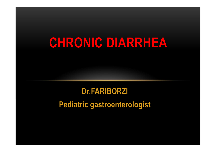# CHRONIC DIARRHEA

# Dr.FARIBORZI

# Pediatric gastroenterologist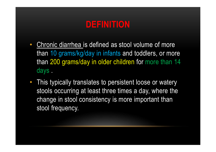# DEFINITION

- Chronic diarrhea is defined as stool volume of more than 10 grams/kg/day in infants and toddlers, or more than 200 grams/day in older children for more than 14 days .
- This typically translates to persistent loose or watery stools occurring at least three times a day, where the change in stool consistency is more important than stool frequency.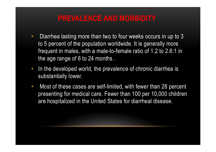# PREVALENCE AND MORBIDITY

- Diarrhea lasting more than two to four weeks occurs in up to 3 to 5 percent of the population worldwide. It is generally more frequent in males, with a male-to-female ratio of 1.2 to 2.6:1 in the age range of 6 to 24 months .
- In the developed world, the prevalence of chronic diarrhea is substantially lower.
- Most of these cases are self-limited, with fewer than 28 percent presenting for medical care. Fewer than 100 per 10,000 children are hospitalized in the United States for diarrheal disease.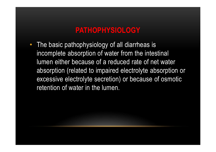# PATHOPHYSIOLOGY

• The basic pathophysiology of all diarrheas is incomplete absorption of water from the intestinal lumen either because of a reduced rate of net water absorption (related to impaired electrolyte absorption or excessive electrolyte secretion) or because of osmotic retention of water in the lumen.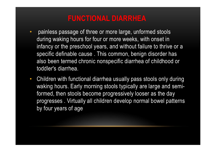# FUNCTIONAL DIARRHEA

- painless passage of three or more large, unformed stools during waking hours for four or more weeks, with onset in infancy or the preschool years, and without failure to thrive or a specific definable cause . This common, benign disorder has also been termed chronic nonspecific diarrhea of childhood or toddler's diarrhea.
- Children with functional diarrhea usually pass stools only during waking hours. Early morning stools typically are large and semiformed, then stools become progressively looser as the day progresses . Virtually all children develop normal bowel patterns by four years of age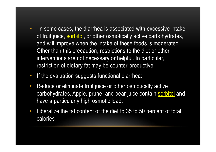- In some cases, the diarrhea is associated with excessive intake of fruit juice, sorbitol, or other osmotically active carbohydrates, and will improve when the intake of these foods is moderated. Other than this precaution, restrictions to the diet or other interventions are not necessary or helpful. In particular, restriction of dietary fat may be counter-productive.
- If the evaluation suggests functional diarrhea:
- Reduce or eliminate fruit juice or other osmotically active carbohydrates. Apple, prune, and pear juice contain sorbitol and have a particularly high osmotic load.
- Liberalize the fat content of the diet to 35 to 50 percent of total calories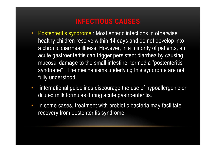# INFECTIOUS CAUSES

- **INFECTIOUS CAUSES**<br>• Postenteritis syndrome : Most enteric infections in otherwise<br>healthy children resolve within 14 days and do not develop into<br>a chronic diarrhea illness. However, in a minority of patients, an healthy children resolve within 14 days and do not develop into a chronic diarrhea illness. However, in a minority of patients, an acute gastroenteritis can trigger persistent diarrhea by causing mucosal damage to the small intestine, termed a "postenteritis syndrome" . The mechanisms underlying this syndrome are not fully understood. a chronic diarrhea liness. However, in a minority of patients, an<br>acute gastroenteritis can trigger persistent diarrhea by causing<br>mucosal damage to the small intestine, termed a "postenteritis<br>syndrome". The mechanisms un
- international guidelines discourage the use of hypoallergenic or diluted milk formulas during acute gastroenteritis.
- In some cases, treatment with probiotic bacteria may facilitate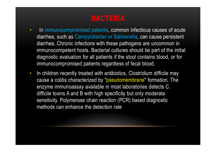# BACTERIA

- In immunocompromised patients, common infectious causes of acute diarrhea, such as Campylobacter or Salmonella, can cause persistent diarrhea. Chronic infections with these pathogens are uncommon in immunocompetent hosts. Bacterial cultures should be part of the initial diagnostic evaluation for all patients if the stool contains blood, or for immunocompromised patients regardless of fecal blood.
- In children recently treated with antibiotics, Clostridium difficile may cause a colitis characterized by "pseudomembrane" formation. The enzyme immunoassay available in most laboratories detects C. difficile toxins A and B with high specificity but only moderate sensitivity. Polymerase chain reaction (PCR) based diagnostic methods can enhance the detection rate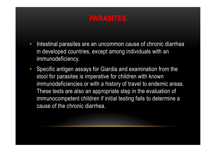# PARASITES

- Intestinal parasites are an uncommon cause of chronic diarrhea in developed countries, except among individuals with an immunodeficiency.
- Specific antigen assays for Giardia and examination from the stool for parasites is imperative for children with known **Intestinal parasites are an uncommon cause of chronic diarrhea**<br>in developed countries, except among individuals with an<br>immunodeficiency.<br>Specific antigen assays for Giardia and examination from the<br>stool for parasites i These tests are also an appropriate step in the evaluation of immunocompetent children if initial testing fails to determine a cause of the chronic diarrhea.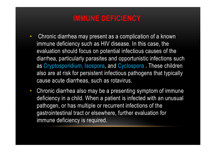# IMMUNE DEFICIENCY

- Chronic diarrhea may present as a complication of a known immune deficiency such as HIV disease. In this case, the evaluation should focus on potential infectious causes of the diarrhea, particularly parasites and opportunistic infections such as Cryptosporidium, Isospora, and Cyclospora . These children also are at risk for persistent infectious pathogens that typically cause acute diarrheas, such as rotavirus.
- Chronic diarrhea also may be a presenting symptom of immune deficiency in a child. When a patient is infected with an unusual pathogen, or has multiple or recurrent infections of the gastrointestinal tract or elsewhere, further evaluation for immune deficiency is required.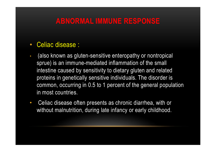# ABNORMAL IMMUNE RESPONSE

- ABNORMAL IMMUNE RESPONSE<br>• Celiac disease :<br>• (also known as gluten-sensitive enteropathy or nontropical<br>entured is an immune modiated inflammation of the email sprue) is an immune-mediated inflammation of the small intestine caused by sensitivity to dietary gluten and related proteins in genetically sensitive individuals. The disorder is common, occurring in 0.5 to 1 percent of the general population in most countries.
- Celiac disease often presents as chronic diarrhea, with or without malnutrition, during late infancy or early childhood.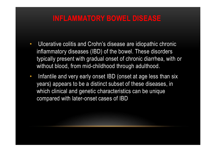#### INFLAMMATORY BOWEL DISEASE

- Ulcerative colitis and Crohn's disease are idiopathic chronic inflammatory diseases (IBD) of the bowel. These disorders typically present with gradual onset of chronic diarrhea, with or without blood, from mid-childhood through adulthood.
- Infantile and very early onset IBD (onset at age less than six years) appears to be a distinct subset of these diseases, in which clinical and genetic characteristics can be unique compared with later-onset cases of IBD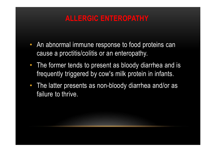# ALLERGIC ENTEROPATHY

- An abnormal immune response to food proteins can cause a proctitis/colitis or an enteropathy.
- The former tends to present as bloody diarrhea and is frequently triggered by cow's milk protein in infants.
- The latter presents as non-bloody diarrhea and/or as failure to thrive.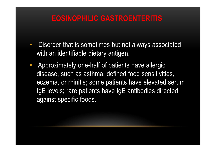# EOSINOPHILIC GASTROENTERITIS

- Disorder that is sometimes but not always associated with an identifiable dietary antigen.
- Approximately one-half of patients have allergic disease, such as asthma, defined food sensitivities, eczema, or rhinitis; some patients have elevated serum Disorder that is sometimes but not always associated<br>with an identifiable dietary antigen.<br>Approximately one-half of patients have allergic<br>disease, such as asthma, defined food sensitivities,<br>eczema, or rhinitis; some pat against specific foods.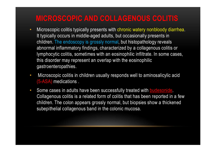# MICROSCOPIC AND COLLAGENOUS COLITIS

- **MICROSCOPIC AND COLLAGENOUS COLITIS**<br>• Microscopic colitis typically presents with chronic watery nonbloody diarrhea.<br>It typically occurs in middle-aged adults, but occasionally presents in<br>children. The endoscopy is gros It typically occurs in middle-aged adults, but occasionally presents in children. The endoscopy is grossly normal, but histopathology reveals abnormal inflammatory findings, characterized by a collagenous colitis or lymphocytic colitis, sometimes with an eosinophilic infiltrate. In some cases, this disorder may represent an overlap with the eosinophilic gastroenteropathies. **MICROSCOPIC AND COLLAGENOUS COLITIS**<br>• Microscopic colitis typically presents with chronic watery nonbloody diarrhea.<br>
It typically occurs in middle-aged adults, but occasionally presents in<br>
children. The endoscopy is gr Emidial inflammatory fist grossiy normal, but instepantial inflammatory findings, characterized by a collarlymphocytic colitis, sometimes with an eosinophilic inflitrathis disorder may represent an overlap with the eosinop
- (5-ASA) medications .
- Some cases in adults have been successfully treated with **budesonide**.<br>Collagenous colitis is a related form of colitis that has been reported in a few children. The colon appears grossly normal, but biopsies show a thickened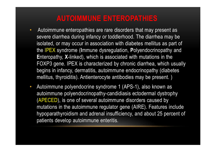# AUTOIMMUNE ENTEROPATHIES

- Autoimmune enteropathies are rare disorders that may present as severe diarrhea during infancy or toddlerhood. The diarrhea may be isolated, or may occur in association with diabetes mellitus as part of **AUTOIMMUNE ENTEROPATHIES**<br>Autoimmune enteropathies are rare disorders that may present as<br>severe diarrhea during infancy or toddlerhood. The diarrhea may be<br>isolated, or may occur in association with diabetes mellitus as Enteropathy, X-linked), which is associated with mutations in the FOXP3 gene. IPEX is characterized by chronic diarrhea, which usually **AUTOIMMUNE ENTEROPATHIES**<br>Autoimmune enteropathies are rare disorders that may present as<br>severe diarrhea during infancy or toddlerhood. The diarrhea may be<br>isolated, or may occur in association with diabetes mellitus as **AUTOIMMUNE ENTEROPATHIES**<br>Autoimmune enteropathies are rare disorders that may present as<br>severe diarrhea during infancy or toddlerhood. The diarrhea may be<br>isolated, or may occur in association with diabetes mellitus as • Autoimmune enteropathies are rare disorders that may present as<br>severe diarrhea during infancy or toddlerhood. The diarrhea may be<br>isolated, or may occur in association with diabetes mellitus as part of<br>the IPEX syndrome
- autoimmune polyendocrinopathy-candidiasis ectodermal dystrophy (APECED), is one of several autoimmune disorders caused by mutations in the autoimmune regulator gene (AIRE). Features include hypoparathyroidism and adrenal insufficiency, and about 25 percent of patients develop autoimmune enteritis.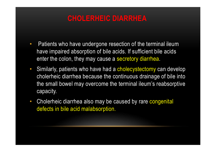# CHOLERHEIC DIARRHEA

- Patients who have undergone resection of the terminal ileum have impaired absorption of bile acids. If sufficient bile acids enter the colon, they may cause a secretory diarrhea.
- Similarly, patients who have had a cholecystectomy can develop **CHOLERHEIC DIARRHEA**<br>Patients who have undergone resection of the terminal ileum<br>have impaired absorption of bile acids. If sufficient bile acids<br>enter the colon, they may cause a secretory diarrhea.<br>Similarly, patients w the small bowel may overcome the terminal ileum's reabsorptive capacity. • Patients who have undergone resection of the terminal ileum<br>have impaired absorption of bile acids. If sufficient bile acids<br>enter the colon, they may cause a secretory diarrhea.<br>• Similarly, patients who have had a chol
- defects in bile acid malabsorption.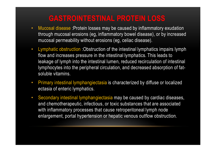# GASTROINTESTINAL PROTEIN LOSS

- Mucosal disease :Protein losses may be caused by inflammatory exudation through mucosal erosions (eg, inflammatory bowel disease), or by increased mucosal permeability without erosions (eg, celiac disease).
- Lymphatic obstruction :Obstruction of the intestinal lymphatics impairs lymph flow and increases pressure in the intestinal lymphatics. This leads to leakage of lymph into the intestinal lumen, reduced recirculation of intestinal lymphocytes into the peripheral circulation, and decreased absorption of fatsoluble vitamins.
- Primary intestinal lymphangiectasia is characterized by diffuse or localized ectasia of enteric lymphatics.
- Secondary intestinal lymphangiectasia may be caused by cardiac diseases, and chemotherapeutic, infectious, or toxic substances that are associated with inflammatory processes that cause retroperitoneal lymph node enlargement, portal hypertension or hepatic venous outflow obstruction.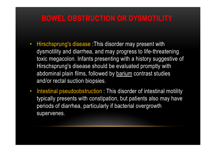#### BOWEL OBSTRUCTION OR DYSMOTILITY

- **BOWEL OBSTRUCTION OR DYSMOTILITY**<br>• Hirschsprung's disease :This disorder may present with<br>dysmotility and diarrhea, and may progress to life-threatening<br>toxic megacolon. Infants presenting with a history suggestive of **BOWEL OBSTRUCTION OR DYSMOTILITY**<br>Hirschsprung's disease :This disorder may present with<br>dysmotility and diarrhea, and may progress to life-threatening<br>toxic megacolon. Infants presenting with a history suggestive of<br>Hirs toxic megacolon. Infants presenting with a history suggestive of **BOWEL OBSTRUCTION OR DYSMOTILITY**<br>Hirschsprung's disease :This disorder may present with<br>dysmotility and diarrhea, and may progress to life-threatening<br>toxic megacolon. Infants presenting with a history suggestive of<br>Hirs **BOWEL OBSTRUCTION OR DYSMOTILITY**<br>
Hirschsprung's disease :This disorder may present with<br>
dysmotility and diarrhea, and may progress to life-threatening<br>
toxic megacolon. Infants presenting with a history suggestive of<br> and/or rectal suction biopsies. • Hirschsprung's disease :This disorder may present with<br>dysmotility and diarrhea, and may progress to life-threatening<br>toxic megacolon. Infants presenting with a history suggestive of<br>Hirschsprung's disease should be eval
- typically presents with constipation, but patients also may have periods of diarrhea, particularly if bacterial overgrowth supervenes.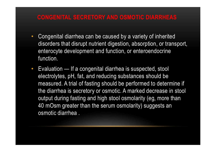#### CONGENITAL SECRETORY AND OSMOTIC DIARRHEAS

- Congenital diarrhea can be caused by a variety of inherited disorders that disrupt nutrient digestion, absorption, or transport, enterocyte development and function, or enteroendocrine function. **CONGENITAL SECRETORY AND OSMOTIC DIARRHEAS**<br>• Congenital diarrhea can be caused by a variety of inherited<br>disorders that disrupt nutrient digestion, absorption, or transport,<br>enterocyte development and function, or entero
- electrolytes, pH, fat, and reducing substances should be measured. A trial of fasting should be performed to determine if the diarrhea is secretory or osmotic. A marked decrease in stool Congenital diarrhea can be caused by a variety of inherited<br>disorders that disrupt nutrient digestion, absorption, or transport,<br>enterocyte development and function, or enteroendocrine<br>function.<br>Evaluation — If a congenita disorders that disrupt nutrient digestion, absorption, or transport,<br>enterocyte development and function, or enteroendocrine<br>function.<br>Evaluation — If a congenital diarrhea is suspected, stool<br>electrolytes, pH, fat, and re osmotic diarrhea .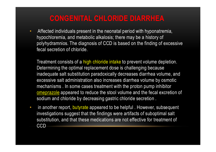# CONGENITAL CHLORIDE DIARRHEA

• Affected individuals present in the neonatal period with hyponatremia, hypochloremia, and metabolic alkalosis; there may be a history of polyhydramnios. The diagnosis of CCD is based on the finding of excessive fecal secretion of chloride.

Treatment consists of a high chloride intake to prevent volume depletion. Determining the optimal replacement dose is challenging because inadequate salt substitution paradoxically decreases diarrhea volume, and excessive salt administration also increases diarrhea volume by osmotic mechanisms . In some cases treatment with the proton pump inhibitor omeprazole appeared to reduce the stool volume and the fecal excretion of sodium and chloride by decreasing gastric chloride secretion .

• in another report, butyrate appeared to be helpful . However, subsequent investigations suggest that the findings were artifacts of suboptimal salt substitution, and that these medications are not effective for treatment of **CCD**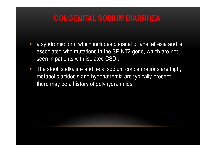# CONGENITAL SODIUM DIARRHEA

- **CONGENITAL SODIUM DIARRHEA**<br>• a syndromic form which includes choanal or anal atresia and is<br>associated with mutations in the SPINT2 gene, which are not<br>seen in patients with isolated CSD . associated with mutations in the SPINT2 gene, which are not seen in patients with isolated CSD .
- The stool is alkaline and fecal sodium concentrations are high; metabolic acidosis and hyponatremia are typically present ; there may be a history of polyhydramnios.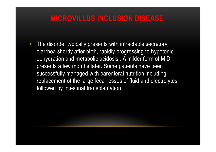# MICROVILLUS INCLUSION DISEASE

• The disorder typically presents with intractable secretory diarrhea shortly after birth, rapidly progressing to hypotonic dehydration and metabolic acidosis . A milder form of MID presents a few months later. Some patients have been successfully managed with parenteral nutrition including replacement of the large fecal losses of fluid and electrolytes, followed by intestinal transplantation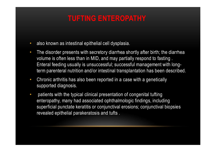# TUFTING ENTEROPATHY

- also known as intestinal epithelial cell dysplasia.
- The disorder presents with secretory diarrhea shortly after birth; the diarrhea volume is often less than in MID, and may partially respond to fasting . Enteral feeding usually is unsuccessful; successful management with longterm parenteral nutrition and/or intestinal transplantation has been described.
- Chronic arthritis has also been reported in a case with a genetically supported diagnosis.
- patients with the typical clinical presentation of congenital tufting enteropathy, many had associated ophthalmologic findings, including superficial punctate keratitis or conjunctival erosions; conjunctival biopsies revealed epithelial parakeratosis and tufts .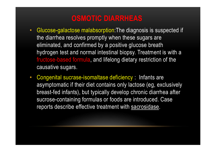# OSMOTIC DIARRHEAS

- **OSMOTIC DIARRHEAS**<br>• Glucose-galactose malabsorption:The diagnosis is suspected if<br>the diarrhea resolves promptly when these sugars are<br>eliminated, and confirmed by a positive glucose breath the diarrhea resolves promptly when these sugars are eliminated, and confirmed by a positive glucose breath hydrogen test and normal intestinal biopsy. Treatment is with a fructose-based formula, and lifelong dietary restriction of the causative sugars. **OSMOTIC DIARRHEAS**<br>• Glucose-galactose malabsorption: The diagnosis is suspected if<br>the diarrhea resolves promptly when these sugars are<br>eliminated, and confirmed by a positive glucose breath<br>hydrogen test and normal inte
- asymptomatic if their diet contains only lactose (eg, exclusively breast-fed infants), but typically develop chronic diarrhea after sucrose-containing formulas or foods are introduced. Case reports describe effective treatment with sacrosidase.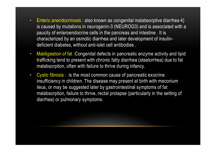- Enteric anendocrinosis : also known as congenital malabsorptive diarrhea 4)<br>is caused by mutations in neurogenin-3 (NEUROG3) and is associated with a<br>paucity of enteroendocrine cells in the pancreas and intestine . It is is caused by mutations in neurogenin-3 (NEUROG3) and is associated with a Enteric anendocrinosis : also known as congenital malabsorptive diarrhea 4)<br>is caused by mutations in neurogenin-3 (NEUROG3) and is associated with a<br>paucity of enteroendocrine cells in the pancreas and intestine . It is<br>c characterized by an osmotic diarrhea and later development of insulindeficient diabetes, without anti-islet cell antibodies . • Enteric anendocrinosis : also known as congenital malabsorptive diarrhea 4)<br>is caused by mutations in neurogenin-3 (NEUROG3) and is associated with a<br>paucity of enteroendocrine cells in the pancreas and intestine. It is<br> • Enteric anendocrinosis : also known as congenital malabsorptive diarrhea 4) is caused by mutations in neurogenin-3 (NEUROG3) and is associated with paucity of entercendocrine cells in the pancreas and intestine . It is c
- trafficking tend to present with chronic fatty diarrhea (steatorrhea) due to fat malabsorption, often with failure to thrive during infancy.
- insufficiency in children. The disease may present at birth with meconium ileus, or may be suggested later by gastrointestinal symptoms of fat malabsorption, failure to thrive, rectal prolapse (particularly in the setting of diarrhea) or pulmonary symptoms.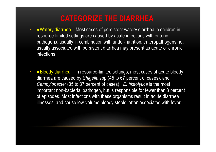# CATEGORIZE THE DIARRHEA

- **CATEGORIZE THE DIARRHEA**<br>• Watery diarrhea Most cases of persistent watery diarrhea in children in<br>resource-limited settings are caused by acute infections with enteric<br>pathogens, usually in combination with under-nut resource-limited settings are caused by acute infections with enteric **CATEGORIZE THE DIARRHEA**<br>
• Watery diarrhea – Most cases of persistent watery diarrhea in children in<br>
resource-limited settings are caused by acute infections with enteric<br>
pathogens, usually in combination with under-nu usually associated with persistent diarrhea may present as acute or chronic infections. • ●Bloody diarrhea – Most cases of persistent watery diarrhea in children in<br>
• evatery diarrhea – Most cases of persistent watery diarrhea in children in<br>
resource-limited settings are caused by acute infections with ent **CATEGORIZE THE DIARRHEA**<br>
• Watery diarrhea – Most cases of persistent watery diarrhea in children in<br>
resource-limited settings are caused by acute infections with enteric<br>
pathogens, usually in combination with under-nu
- Campylobacter (35 to 37 percent of cases) . E. histolytica is the most important non-bacterial pathogen, but is responsible for fewer than 3 percent of episodes. Most infections with these organisms result in acute diarrhea illnesses, and cause low-volume bloody stools, often associated with fever.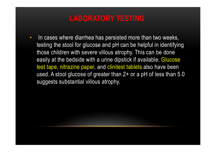# LABORATORY TESTING

• In cases where diarrhea has persisted more than two weeks, testing the stool for glucose and pH can be helpful in identifying those children with severe villous atrophy. This can be done easily at the bedside with a urine dipstick if available. Glucose **LABORATORY TESTING**<br>In cases where diarrhea has persisted more than two weeks,<br>testing the stool for glucose and pH can be helpful in identifying<br>those children with severe villous atrophy. This can be done<br>easily at the used. A stool glucose of greater than 2+ or a pH of less than 5.0 suggests substantial villous atrophy.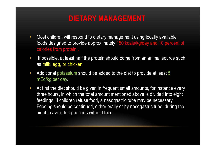# DIETARY MANAGEMENT

- Most children will respond to dietary management using locally available foods designed to provide approximately 150 kcals/kg/day and 10 percent of calories from protein .
- If possible, at least half the protein should come from an animal source such as milk, egg, or chicken.
- Additional potassium should be added to the diet to provide at least 5 mEq/kg per day.
- At first the diet should be given in frequent small amounts, for instance every three hours, in which the total amount mentioned above is divided into eight feedings. If children refuse food, a nasogastric tube may be necessary. Feeding should be continued, either orally or by nasogastric tube, during the night to avoid long periods without food.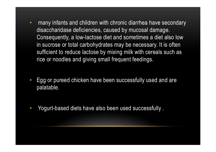- many infants and children with chronic diarrhea have secondary many infants and children with chronic diarrhea have secondary<br>disaccharidase deficiencies, caused by mucosal damage.<br>Consequently, a low-lactose diet and sometimes a diet also low<br>in sucrose or total carbohydrates may be Consequently, a low-lactose diet and sometimes a diet also low in sucrose or total carbohydrates may be necessary. It is often sufficient to reduce lactose by mixing milk with cereals such as rice or noodles and giving small frequent feedings.
- Egg or pureed chicken have been successfully used and are palatable.
- Yogurt-based diets have also been used successfully .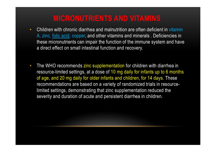# MICRONUTRIENTS AND VITAMINS

- Children with chronic diarrhea and malnutrition are often deficient in vitamin A, zinc, folic acid, copper, and other vitamins and minerals . Deficiencies in these micronutrients can impair the function of the immune system and have a direct effect on small intestinal function and recovery.
- The WHO recommends zinc supplementation for children with diarrhea in resource-limited settings, at a dose of 10 mg daily for infants up to 6 months of age, and 20 mg daily for older infants and children, for 14 days. These recommendations are based on a variety of randomized trials in resourcelimited settings, demonstrating that zinc supplementation reduced the severity and duration of acute and persistent diarrhea in children.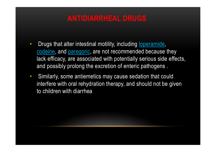# ANTIDIARRHEAL DRUGS

- Drugs that alter intestinal motility, including loperamide, codeine, and paregoric, are not recommended because they lack efficacy, are associated with potentially serious side effects, and possibly prolong the excretion of enteric pathogens . **ANTIDIARRHEAL DRUGS**<br>• Drugs that alter intestinal motility, including <u>loperamide</u>,<br>codeine, and paregoric, are not recommended because they<br>lack efficacy, are associated with potentially serious side effects,<br>and possib
- interfere with oral rehydration therapy, and should not be given to children with diarrhea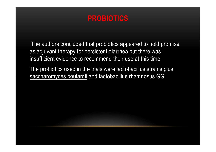# PROBIOTICS

The authors concluded that probiotics appeared to hold promise as adjuvant therapy for persistent diarrhea but there was insufficient evidence to recommend their use at this time. **EXECUTE:**<br>The authors concluded that probiotics appeared to hold promise<br>as adjuvant therapy for persistent diarrhea but there was<br>insufficient evidence to recommend their use at this time.<br>The probiotics used in the tria

The probiotics used in the trials were lactobacillus strains plus